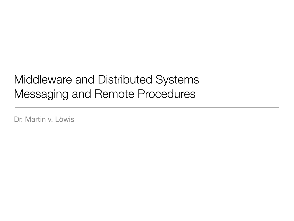### Middleware and Distributed Systems Messaging and Remote Procedures

Dr. Martin v. Löwis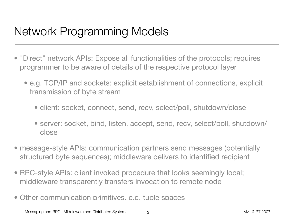### Network Programming Models

- "Direct" network APIs: Expose all functionalities of the protocols; requires programmer to be aware of details of the respective protocol layer
	- e.g. TCP/IP and sockets: explicit establishment of connections, explicit transmission of byte stream
		- client: socket, connect, send, recv, select/poll, shutdown/close
		- server: socket, bind, listen, accept, send, recv, select/poll, shutdown/ close
- message-style APIs: communication partners send messages (potentially structured byte sequences); middleware delivers to identified recipient
- RPC-style APIs: client invoked procedure that looks seemingly local; middleware transparently transfers invocation to remote node
- Other communication primitives, e.g. tuple spaces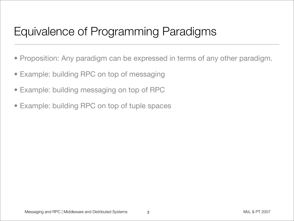### Equivalence of Programming Paradigms

- Proposition: Any paradigm can be expressed in terms of any other paradigm.
- Example: building RPC on top of messaging
- Example: building messaging on top of RPC
- Example: building RPC on top of tuple spaces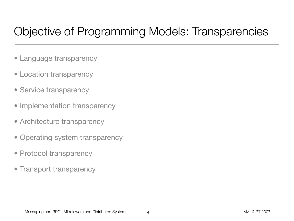# Objective of Programming Models: Transparencies

- Language transparency
- Location transparency
- Service transparency
- Implementation transparency
- Architecture transparency
- Operating system transparency
- Protocol transparency
- Transport transparency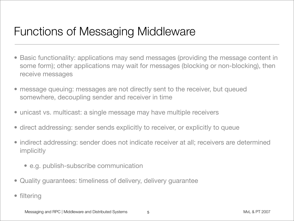### Functions of Messaging Middleware

- Basic functionality: applications may send messages (providing the message content in some form); other applications may wait for messages (blocking or non-blocking), then receive messages
- message queuing: messages are not directly sent to the receiver, but queued somewhere, decoupling sender and receiver in time
- unicast vs. multicast: a single message may have multiple receivers
- direct addressing: sender sends explicitly to receiver, or explicitly to queue
- indirect addressing: sender does not indicate receiver at all; receivers are determined implicitly
	- e.g. publish-subscribe communication
- Quality guarantees: timeliness of delivery, delivery guarantee
- filtering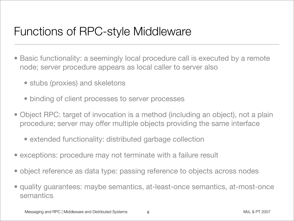### Functions of RPC-style Middleware

- Basic functionality: a seemingly local procedure call is executed by a remote node; server procedure appears as local caller to server also
	- stubs (proxies) and skeletons
	- binding of client processes to server processes
- Object RPC: target of invocation is a method (including an object), not a plain procedure; server may offer multiple objects providing the same interface
	- extended functionality: distributed garbage collection
- exceptions: procedure may not terminate with a failure result
- object reference as data type: passing reference to objects across nodes
- quality guarantees: maybe semantics, at-least-once semantics, at-most-once semantics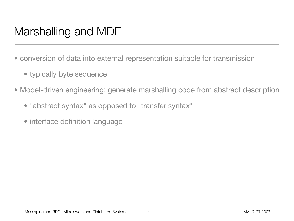# Marshalling and MDE

- conversion of data into external representation suitable for transmission
	- typically byte sequence
- Model-driven engineering: generate marshalling code from abstract description
	- "abstract syntax" as opposed to "transfer syntax"
	- interface definition language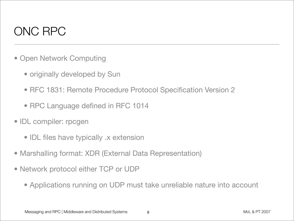### ONC RPC

- Open Network Computing
	- originally developed by Sun
	- RFC 1831: Remote Procedure Protocol Specification Version 2
	- RPC Language defined in RFC 1014
- IDL compiler: rpcgen
	- IDL files have typically .x extension
- Marshalling format: XDR (External Data Representation)
- Network protocol either TCP or UDP
	- Applications running on UDP must take unreliable nature into account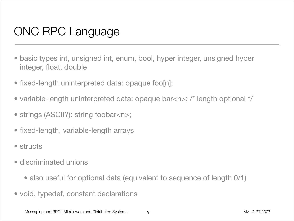# ONC RPC Language

- basic types int, unsigned int, enum, bool, hyper integer, unsigned hyper integer, float, double
- fixed-length uninterpreted data: opaque foo[n];
- variable-length uninterpreted data: opaque bar<n>; /\* length optional \*/
- strings (ASCII?): string foobar<n>;
- fixed-length, variable-length arrays
- structs
- discriminated unions
	- also useful for optional data (equivalent to sequence of length 0/1)
- void, typedef, constant declarations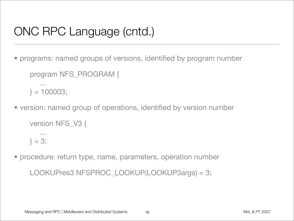# ONC RPC Language (cntd.)

- programs: named groups of versions, identified by program number program NFS\_PROGRAM { ...  $} = 100003;$
- version: named group of operations, identified by version number

```
version NFS_V3 {
   ...
} = 3;
```
• procedure: return type, name, parameters, operation number

LOOKUPres3 NFSPROC\_LOOKUP(LOOKUP3args) = 3;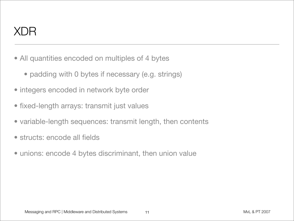### XDR

- All quantities encoded on multiples of 4 bytes
	- padding with 0 bytes if necessary (e.g. strings)
- integers encoded in network byte order
- fixed-length arrays: transmit just values
- variable-length sequences: transmit length, then contents
- structs: encode all fields
- unions: encode 4 bytes discriminant, then union value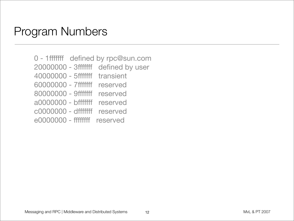#### Program Numbers

 0 - 1fffffff defined by rpc@sun.com 20000000 - 3fffffff defined by user 40000000 - 5fffffff transient 60000000 - 7fffffff reserved 80000000 - 9fffffff reserved a0000000 - bfffffff reserved c0000000 - dfffffff reserved e0000000 - ffffffff reserved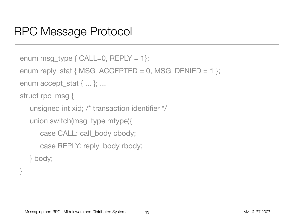### RPC Message Protocol

```
enum msg_type { CALL=0, REPLY = 1 ;
enum reply_stat { MSG_ACCEPTED = 0, MSG_DENIED = 1 };
enum accept_stat { ... }; ...
struct rpc_msg {
  unsigned int xid; /* transaction identifier */
  union switch(msg_type mtype){
      case CALL: call_body cbody;
      case REPLY: reply_body rbody;
  } body;
```
}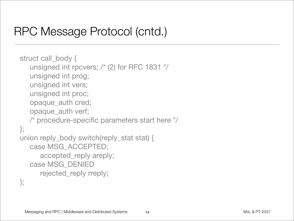### RPC Message Protocol (cntd.)

```
struct call_body {
   unsigned int rpcvers; /* (2) for RFC 1831 */
   unsigned int prog;
   unsigned int vers;
   unsigned int proc;
   opaque_auth cred;
   opaque_auth verf;
   /* procedure-specific parameters start here */
};
union reply_body switch(reply_stat stat) {
   case MSG_ACCEPTED:
      accepted_reply areply;
   case MSG_DENIED
      rejected_reply rreply;
};
```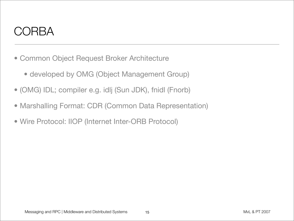#### CORBA

- Common Object Request Broker Architecture
	- developed by OMG (Object Management Group)
- (OMG) IDL; compiler e.g. idlj (Sun JDK), fnidl (Fnorb)
- Marshalling Format: CDR (Common Data Representation)
- Wire Protocol: IIOP (Internet Inter-ORB Protocol)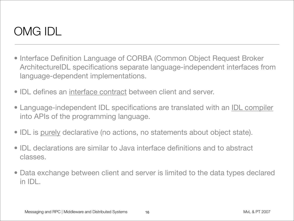# OMG IDL

- Interface Definition Language of CORBA (Common Object Request Broker ArchitectureIDL specifications separate language-independent interfaces from language-dependent implementations.
- IDL defines an interface contract between client and server.
- Language-independent IDL specifications are translated with an IDL compiler into APIs of the programming language.
- IDL is purely declarative (no actions, no statements about object state).
- IDL declarations are similar to Java interface definitions and to abstract classes.
- Data exchange between client and server is limited to the data types declared in IDL.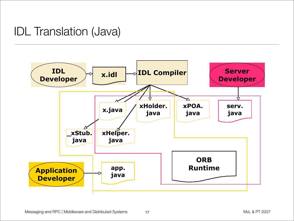### IDL Translation (Java)

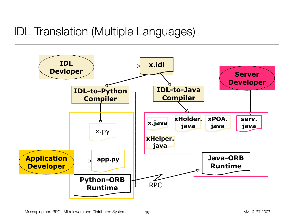### IDL Translation (Multiple Languages)

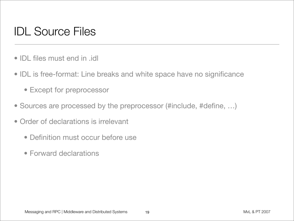# IDL Source Files

- IDL files must end in .idl
- IDL is free-format: Line breaks and white space have no significance
	- Except for preprocessor
- Sources are processed by the preprocessor (#include, #define, …)
- Order of declarations is irrelevant
	- Definition must occur before use
	- Forward declarations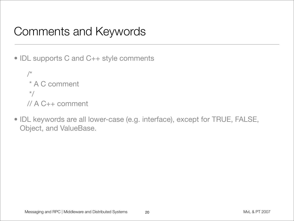### Comments and Keywords

• IDL supports C and C++ style comments

/\* \* A C comment \*/ // A C++ comment

• IDL keywords are all lower-case (e.g. interface), except for TRUE, FALSE, Object, and ValueBase.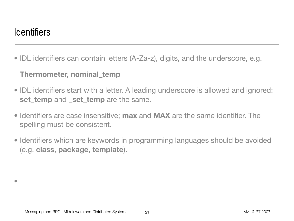#### **Identifiers**

•

• IDL identifiers can contain letters (A-Za-z), digits, and the underscore, e.g.

#### **Thermometer, nominal\_temp**

- IDL identifiers start with a letter. A leading underscore is allowed and ignored: **set\_temp** and **\_set\_temp** are the same.
- Identifiers are case insensitive; **max** and **MAX** are the same identifier. The spelling must be consistent.
- Identifiers which are keywords in programming languages should be avoided (e.g. **class**, **package**, **template**).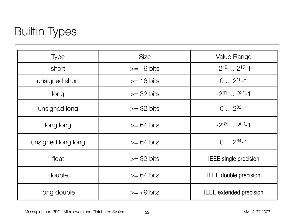## Builtin Types

| <b>Type</b>        | <b>Size</b>          | <b>Value Range</b>             |  |
|--------------------|----------------------|--------------------------------|--|
| short              | $>= 16 \text{ bits}$ | $-2^{15}$ 2 <sup>15</sup> -1   |  |
| unsigned short     | $>= 16 \text{ bits}$ | $0 \dots 2^{16} - 1$           |  |
| long               | $>=$ 32 bits         | $-2^{31}$ $2^{31}$ -1          |  |
| unsigned long      | $>=$ 32 bits         | $0 \dots 2^{32} - 1$           |  |
| long long          | $>= 64 \text{ bits}$ | $-2^{63}$ $\ldots$ $2^{63}$ -1 |  |
| unsigned long long | $>= 64 bits$         | $0 \dots 2^{64} - 1$           |  |
| float              | $>=$ 32 bits         | <b>IEEE</b> single precision   |  |
| double             | $>= 64 \text{ bits}$ | <b>IEEE</b> double precision   |  |
| long double        | $>= 79$ bits         | <b>IEEE</b> extended precision |  |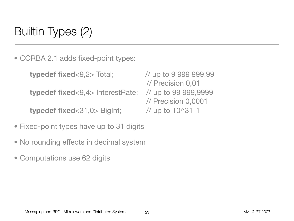# Builtin Types (2)

• CORBA 2.1 adds fixed-point types:

```
typedef fixed<9,2> Total; // up to 9 999 999,99
```
**typedef fixed**<9,4> InterestRate; // up to 99 999,9999

**typedef fixed**<31,0> BigInt; // up to 10^31-1

- Fixed-point types have up to 31 digits
- No rounding effects in decimal system
- Computations use 62 digits

 // Precision 0,01 // Precision 0,0001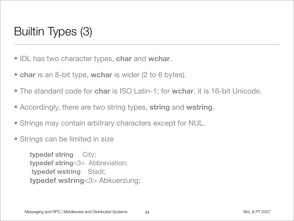# Builtin Types (3)

- IDL has two character types, **char** and **wchar**.
- **char** is an 8-bit type, **wchar** is wider (2 to 6 bytes).
- The standard code for **char** is ISO Latin-1; for **wchar**, it is 16-bit Unicode.
- Accordingly, there are two string types, **string** and **wstring**.
- Strings may contain arbitrary characters except for NUL.
- Strings can be limited in size

**typedef string** City; **typedef string**<3> Abbreviation; **typedef wstring** Stadt; **typedef wstring**<3> Abkuerzung;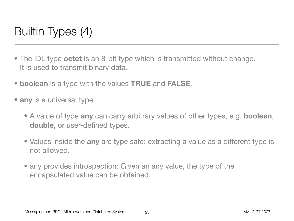# Builtin Types (4)

- The IDL type **octet** is an 8-bit type which is transmitted without change. It is used to transmit binary data.
- **boolean** is a type with the values **TRUE** and **FALSE**.
- **any** is a universal type:
	- A value of type **any** can carry arbitrary values of other types, e.g. **boolean**, **double**, or user-defined types.
	- Values inside the **any** are type safe: extracting a value as a different type is not allowed.
	- any provides introspection: Given an any value, the type of the encapsulated value can be obtained.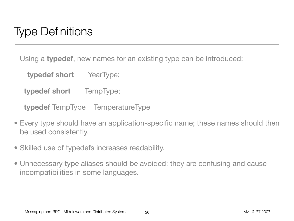## Type Definitions

Using a **typedef**, new names for an existing type can be introduced:

**typedef short** YearType;

**typedef short** TempType;

**typedef** TempType TemperatureType

- Every type should have an application-specific name; these names should then be used consistently.
- Skilled use of typedefs increases readability.
- Unnecessary type aliases should be avoided; they are confusing and cause incompatibilities in some languages.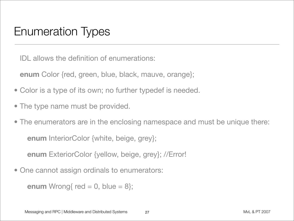### Enumeration Types

IDL allows the definition of enumerations:

**enum** Color {red, green, blue, black, mauve, orange};

- Color is a type of its own; no further typedef is needed.
- The type name must be provided.
- The enumerators are in the enclosing namespace and must be unique there: **enum** InteriorColor {white, beige, grey}; **enum** ExteriorColor {yellow, beige, grey}; //Error!
- One cannot assign ordinals to enumerators:

```
enum Wrong{ red = 0, blue = 8};
```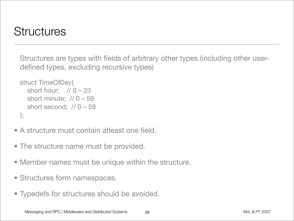### **Structures**

Structures are types with fields of arbitrary other types (including other userdefined types, excluding recursive types)

```
struct TimeOfDay{
  short hour; // 0 - 23short minute; // 0 - 59short second; // 0 - 59};
```
- A structure must contain atleast one field.
- The structure name must be provided.
- Member names must be unique within the structure.
- Structures form namespaces.
- Typedefs for structures should be avoided.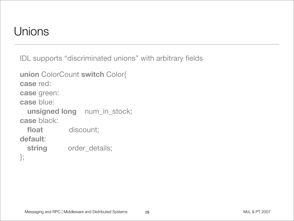### **Unions**

IDL supports "discriminated unions" with arbitrary fields

```
union ColorCount switch Color{
case red:
case green:
case blue:
  unsigned long num_in_stock;
case black:
 float discount;
default:
  string order_details;
```
};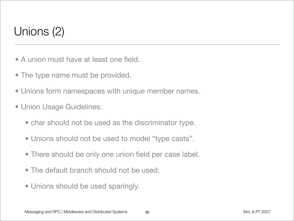# Unions (2)

- A union must have at least one field.
- The type name must be provided.
- Unions form namespaces with unique member names.
- Union Usage Guidelines:
	- char should not be used as the discriminator type.
	- Unions should not be used to model "type casts".
	- There should be only one union field per case label.
	- The default branch should not be used.
	- Unions should be used sparingly.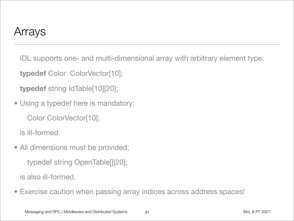#### Arrays

IDL supports one- and multi-dimensional array with arbitrary element type.

**typedef** Color ColorVector[10];

**typedef** string IdTable[10][20];

• Using a typedef here is mandatory;

Color ColorVector[10];

is ill-formed

• All dimensions must be provided;

typedef string OpenTable[][20];

is also ill-formed.

• Exercise caution when passing array indices across address spaces!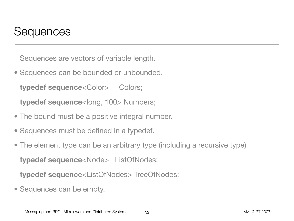#### **Sequences**

Sequences are vectors of variable length.

- Sequences can be bounded or unbounded. **typedef sequence<Color> Colors; typedef sequence**<long, 100> Numbers;
- The bound must be a positive integral number.
- Sequences must be defined in a typedef.
- The element type can be an arbitrary type (including a recursive type) **typedef sequence**<Node> ListOfNodes;

**typedef sequence**<ListOfNodes> TreeOfNodes;

• Sequences can be empty.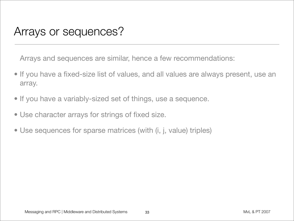#### Arrays or sequences?

Arrays and sequences are similar, hence a few recommendations:

- If you have a fixed-size list of values, and all values are always present, use an array.
- If you have a variably-sized set of things, use a sequence.
- Use character arrays for strings of fixed size.
- Use sequences for sparse matrices (with (i, j, value) triples)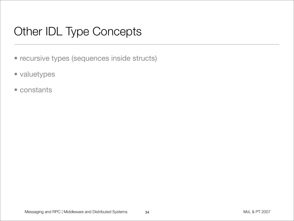# Other IDL Type Concepts

- recursive types (sequences inside structs)
- valuetypes
- constants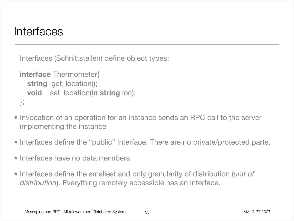#### Interfaces

Interfaces (Schnittstellen) define object types:

```
interface Thermometer{
  string get_location();
  void set_location(in string loc);
};
```
- Invocation of an operation for an instance sends an RPC call to the server implementing the instance
- Interfaces define the "public" Interface. There are no private/protected parts.
- Interfaces have no data members.
- Interfaces define the smallest and only granularity of distribution (*unit of distribution*). Everything remotely accessible has an interface.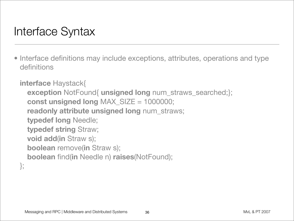### Interface Syntax

• Interface definitions may include exceptions, attributes, operations and type definitions

```
interface Haystack{
  exception NotFound{ unsigned long num_straws_searched;};
  const unsigned long MAX_SIZE = 1000000;
  readonly attribute unsigned long num_straws;
  typedef long Needle;
  typedef string Straw;
  void add(in Straw s);
  boolean remove(in Straw s);
  boolean find(in Needle n) raises(NotFound);
};
```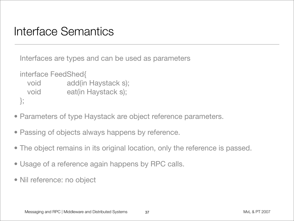#### Interface Semantics

Interfaces are types and can be used as parameters

```
interface FeedShed{
 void add(in Haystack s);
 void eat(in Haystack s);
};
```
- Parameters of type Haystack are object reference parameters.
- Passing of objects always happens by reference.
- The object remains in its original location, only the reference is passed.
- Usage of a reference again happens by RPC calls.
- Nil reference: no object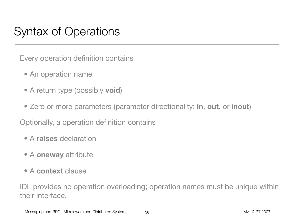### Syntax of Operations

Every operation definition contains

- An operation name
- A return type (possibly **void**)
- Zero or more parameters (parameter directionality: **in**, **out**, or **inout**)

Optionally, a operation definition contains

- A **raises** declaration
- A **oneway** attribute
- A **context** clause

IDL provides no operation overloading; operation names must be unique within their interface.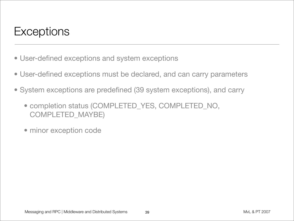### **Exceptions**

- User-defined exceptions and system exceptions
- User-defined exceptions must be declared, and can carry parameters
- System exceptions are predefined (39 system exceptions), and carry
	- completion status (COMPLETED\_YES, COMPLETED\_NO, COMPLETED\_MAYBE)
	- minor exception code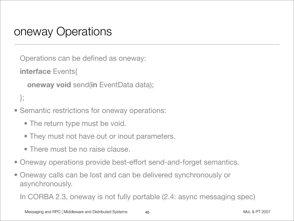#### oneway Operations

Operations can be defined as oneway:

**interface** Events{

```
oneway void send(in EventData data);
```

```
};
```
- Semantic restrictions for oneway operations:
	- The return type must be void.
	- They must not have out or inout parameters.
	- There must be no raise clause.
- Oneway operations provide best-effort send-and-forget semantics.
- Oneway calls can be lost and can be delivered synchronously or asynchronously.

In CORBA 2.3, oneway is not fully portable (2.4: async messaging spec)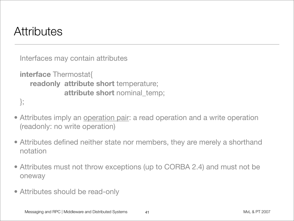### **Attributes**

Interfaces may contain attributes

```
interface Thermostat{
    readonly attribute short temperature;
              attribute short nominal_temp;
};
```
• Attributes imply an operation pair: a read operation and a write operation (readonly: no write operation)

- Attributes defined neither state nor members, they are merely a shorthand notation
- Attributes must not throw exceptions (up to CORBA 2.4) and must not be oneway
- Attributes should be read-only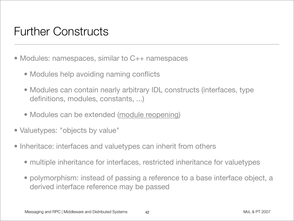### Further Constructs

- Modules: namespaces, similar to C++ namespaces
	- Modules help avoiding naming conflicts
	- Modules can contain nearly arbitrary IDL constructs (interfaces, type definitions, modules, constants, ...)
	- Modules can be extended (module reopening)
- Valuetypes: "objects by value"
- Inheritace: interfaces and valuetypes can inherit from others
	- multiple inheritance for interfaces, restricted inheritance for valuetypes
	- polymorphism: instead of passing a reference to a base interface object, a derived interface reference may be passed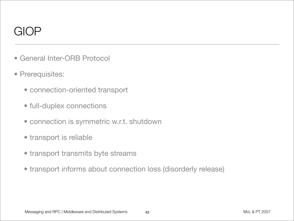### GIOP

- General Inter-ORB Protocol
- Prerequisites:
	- connection-oriented transport
	- full-duplex connections
	- connection is symmetric w.r.t. shutdown
	- transport is reliable
	- transport transmits byte streams
	- transport informs about connection loss (disorderly release)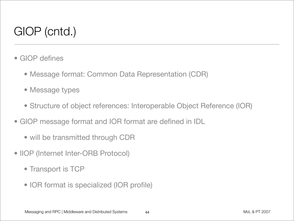# GIOP (cntd.)

- GIOP defines
	- Message format: Common Data Representation (CDR)
	- Message types
	- Structure of object references: Interoperable Object Reference (IOR)
- GIOP message format and IOR format are defined in IDL
	- will be transmitted through CDR
- IIOP (Internet Inter-ORB Protocol)
	- Transport is TCP
	- IOR format is specialized (IOR profile)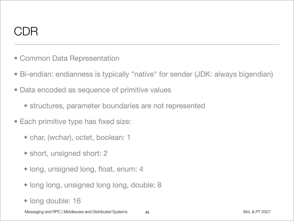### $\mathsf{D}\mathsf{R}$

- Common Data Representation
- Bi-endian: endianness is typically "native" for sender (JDK: always bigendian)
- Data encoded as sequence of primitive values
	- structures, parameter boundaries are not represented
- Each primitive type has fixed size:
	- char, (wchar), octet, boolean: 1
	- short, unsigned short: 2
	- long, unsigned long, float, enum: 4
	- long long, unsigned long long, double: 8
	- long double: 16

Messaging and RPC | Middleware and Distributed Systems  $45$  and  $45$  and  $45$  and  $45$  and  $45$  and  $45$  and  $45$  and  $45$  and  $45$  and  $45$  and  $45$  and  $45$  and  $45$  and  $45$  and  $45$  and  $45$  and  $45$  and  $45$  and  $45$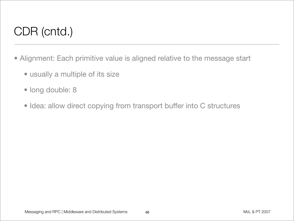# CDR (cntd.)

- Alignment: Each primitive value is aligned relative to the message start
	- usually a multiple of its size
	- long double: 8
	- Idea: allow direct copying from transport buffer into C structures

46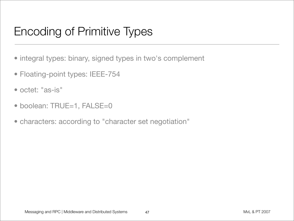# Encoding of Primitive Types

- integral types: binary, signed types in two's complement
- Floating-point types: IEEE-754
- octet: "as-is"
- boolean: TRUE=1, FALSE=0
- characters: according to "character set negotiation"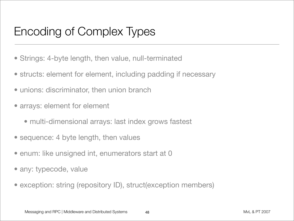## Encoding of Complex Types

- Strings: 4-byte length, then value, null-terminated
- structs: element for element, including padding if necessary
- unions: discriminator, then union branch
- arrays: element for element
	- multi-dimensional arrays: last index grows fastest
- sequence: 4 byte length, then values
- enum: like unsigned int, enumerators start at 0
- any: typecode, value
- exception: string (repository ID), struct(exception members)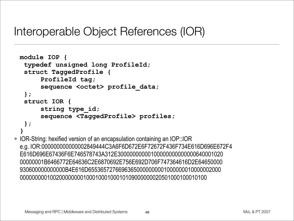#### Interoperable Object References (IOR)

```
module IOP {
 typedef unsigned long ProfileId;
 struct TaggedProfile {
     ProfileId tag;
     sequence <octet> profile data;
 };
 struct IOR {
     string type_id;
     sequence <TaggedProfile> profiles;
 };
}
```
• IOR-String: hexified version of an encapsulation containing an IOP::IOR e.g. IOR:000000000000002849444C3A6F6D672E6F72672F436F734E616D696E672F4 E616D696E67436F6E746578743A312E30000000000100000000000000640001020 00000001B6466772E64636C2E6870692E756E692D706F747364616D2E64650000 930600000000000B4E616D65536572766963650000000001000000010000002000 00000000010020000000010001000100010109000000020501000100010100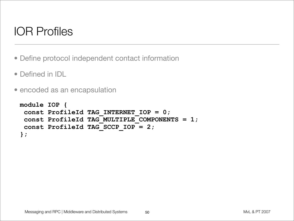## IOR Profiles

- Define protocol independent contact information
- Defined in IDL
- encoded as an encapsulation

```
module IOP {
 const ProfileId TAG_INTERNET_IOP = 0;
 const ProfileId TAG_MULTIPLE_COMPONENTS = 1;
 const ProfileId TAG_SCCP_IOP = 2;
};
```
50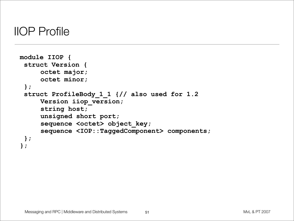#### IIOP Profile

```
module IIOP {
 struct Version {
     octet major;
     octet minor;
 };
 struct ProfileBody_1_1 {// also used for 1.2
     Version iiop_version;
     string host;
     unsigned short port;
     sequence <octet> object key;
     sequence <IOP::TaggedComponent> components;
 };
};
```
51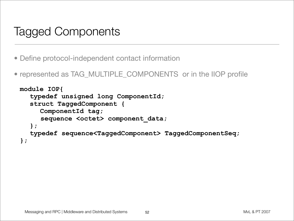### Tagged Components

- Define protocol-independent contact information
- represented as TAG\_MULTIPLE\_COMPONENTS or in the IIOP profile

```
module IOP{
  typedef unsigned long ComponentId;
  struct TaggedComponent {
     ComponentId tag;
     sequence <octet> component data;
  };
  typedef sequence<TaggedComponent> TaggedComponentSeq;
};
```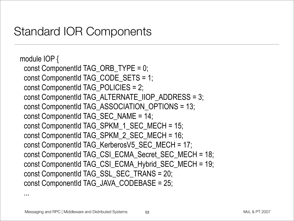### Standard IOR Components

```
module IOP {
 const ComponentId TAG_ORB_TYPE = 0;
 const ComponentId TAG_CODE_SETS = 1;
 const ComponentId TAG_POLICIES = 2;
 const ComponentId TAG_ALTERNATE_IIOP_ADDRESS = 3;
 const ComponentId TAG_ASSOCIATION_OPTIONS = 13;
 const ComponentId TAG_SEC_NAME = 14;
 const ComponentId TAG_SPKM_1_SEC_MECH = 15;
 const ComponentId TAG_SPKM_2_SEC_MECH = 16;
 const ComponentId TAG_KerberosV5_SEC_MECH = 17;
 const ComponentId TAG_CSI_ECMA_Secret_SEC_MECH = 18;
 const ComponentId TAG_CSI_ECMA_Hybrid_SEC_MECH = 19;
 const ComponentId TAG_SSL_SEC_TRANS = 20;
 const ComponentId TAG_JAVA_CODEBASE = 25;
```
...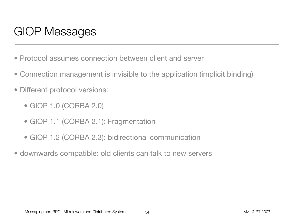# GIOP Messages

- Protocol assumes connection between client and server
- Connection management is invisible to the application (implicit binding)
- Different protocol versions:
	- GIOP 1.0 (CORBA 2.0)
	- GIOP 1.1 (CORBA 2.1): Fragmentation
	- GIOP 1.2 (CORBA 2.3): bidirectional communication
- downwards compatible: old clients can talk to new servers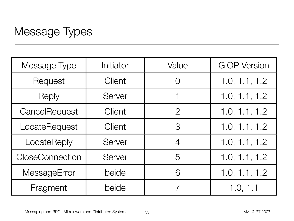### Message Types

| Message Type           | Initiator     | Value          | <b>GIOP Version</b> |
|------------------------|---------------|----------------|---------------------|
| Request                | Client        | $\bigcap$      | 1.0, 1.1, 1.2       |
| Reply                  | Server        |                | 1.0, 1.1, 1.2       |
| CancelRequest          | Client        | $\overline{2}$ | 1.0, 1.1, 1.2       |
| LocateRequest          | <b>Client</b> | $\mathcal{S}$  | 1.0, 1.1, 1.2       |
| LocateReply            | Server        | $\overline{4}$ | 1.0, 1.1, 1.2       |
| <b>CloseConnection</b> | Server        | 5              | 1.0, 1.1, 1.2       |
| MessageError           | beide         | 6              | 1.0, 1.1, 1.2       |
| Fragment               | beide         |                | 1.0, 1.1            |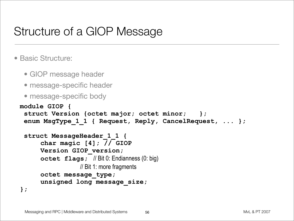### Structure of a GIOP Message

#### • Basic Structure:

- GIOP message header
- message-specific header
- message-specific body

```
module GIOP {
 struct Version {octet major; octet minor; };
 enum MsgType_1_1 { Request, Reply, CancelRequest, ... };
```
56

```
struct MessageHeader_1_1 {
     char magic [4]; // GIOP
     Version GIOP_version;
     octet flags; // Bit 0: Endianness (0: big)
                  // Bit 1: more fragments
     octet message_type;
     unsigned long message_size;
};
```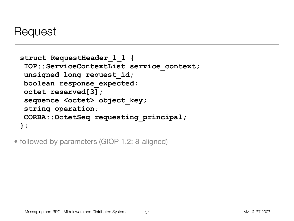#### Request

```
struct RequestHeader_1_1 {
 IOP::ServiceContextList service_context;
unsigned long request_id;
boolean response_expected;
octet reserved[3]; 
 sequence <octet> object key;
string operation;
CORBA::OctetSeq requesting_principal;
};
```
• followed by parameters (GIOP 1.2: 8-aligned)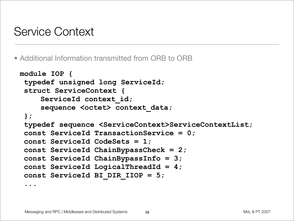#### Service Context

• Additional Information transmitted from ORB to ORB

```
module IOP {
 typedef unsigned long ServiceId;
 struct ServiceContext {
    ServiceId context_id;
    sequence <octet> context data;
 };
 typedef sequence <ServiceContext>ServiceContextList;
 const ServiceId TransactionService = 0;
 const ServiceId CodeSets = 1;
 const ServiceId ChainBypassCheck = 2;
 const ServiceId ChainBypassInfo = 3;
 const ServiceId LogicalThreadId = 4;
 const ServiceId BI_DIR_IIOP = 5;
```
**...**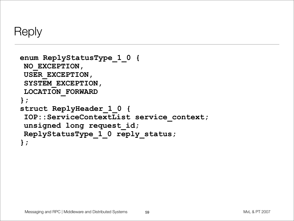```
Reply
```

```
enum ReplyStatusType_1_0 {
NO_EXCEPTION,
USER_EXCEPTION,
SYSTEM_EXCEPTION,
LOCATION_FORWARD
};
struct ReplyHeader_1_0 {
IOP::ServiceContextList service_context;
unsigned long request_id;
ReplyStatusType_1_0 reply_status;
};
```
59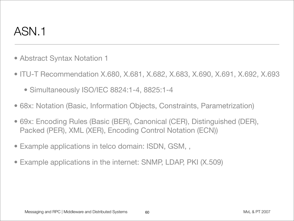### ASN.1

- Abstract Syntax Notation 1
- ITU-T Recommendation X.680, X.681, X.682, X.683, X.690, X.691, X.692, X.693
	- Simultaneously ISO/IEC 8824:1-4, 8825:1-4
- 68x: Notation (Basic, Information Objects, Constraints, Parametrization)
- 69x: Encoding Rules (Basic (BER), Canonical (CER), Distinguished (DER), Packed (PER), XML (XER), Encoding Control Notation (ECN))
- Example applications in telco domain: ISDN, GSM, ,
- Example applications in the internet: SNMP, LDAP, PKI (X.509)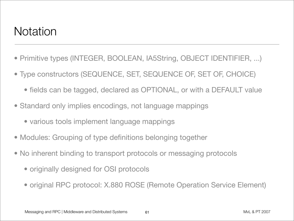#### **Notation**

- Primitive types (INTEGER, BOOLEAN, IA5String, OBJECT IDENTIFIER, ...)
- Type constructors (SEQUENCE, SET, SEQUENCE OF, SET OF, CHOICE)
	- fields can be tagged, declared as OPTIONAL, or with a DEFAULT value
- Standard only implies encodings, not language mappings
	- various tools implement language mappings
- Modules: Grouping of type definitions belonging together
- No inherent binding to transport protocols or messaging protocols
	- originally designed for OSI protocols
	- original RPC protocol: X.880 ROSE (Remote Operation Service Element)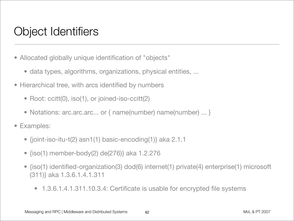## Object Identifiers

- Allocated globally unique identification of "objects"
	- data types, algorithms, organizations, physical entities, ...
- Hierarchical tree, with arcs identified by numbers
	- Root: ccitt(0), iso(1), or joined-iso-ccitt(2)
	- Notations: arc.arc.arc... or { name(number) name(number) ... }
- Examples:
	- {joint-iso-itu-t(2) asn1(1) basic-encoding(1)} aka 2.1.1
	- {iso(1) member-body(2) de(276)} aka 1.2.276
	- {iso(1) identified-organization(3) dod(6) internet(1) private(4) enterprise(1) microsoft (311)} aka 1.3.6.1.4.1.311
		- 1.3.6.1.4.1.311.10.3.4: Certificate is usable for encrypted file systems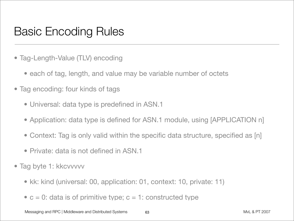### Basic Encoding Rules

- Tag-Length-Value (TLV) encoding
	- each of tag, length, and value may be variable number of octets
- Tag encoding: four kinds of tags
	- Universal: data type is predefined in ASN.1
	- Application: data type is defined for ASN.1 module, using [APPLICATION n]
	- Context: Tag is only valid within the specific data structure, specified as [n]

63

- Private: data is not defined in ASN 1
- Tag byte 1: kkcvvvvv
	- kk: kind (universal: 00, application: 01, context: 10, private: 11)
	- $c = 0$ : data is of primitive type;  $c = 1$ : constructed type

Messaging and RPC | Middleware and Distributed Systems 63 63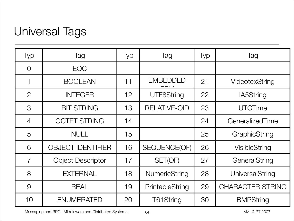## Universal Tags

| Typ            | Tag                      | Typ             | Tag                 | Typ | Tag                     |
|----------------|--------------------------|-----------------|---------------------|-----|-------------------------|
| $\overline{0}$ | <b>EOC</b>               |                 |                     |     |                         |
|                | <b>BOOLEAN</b>           | 11              | <b>EMBEDDED</b>     | 21  | VideotexString          |
| $\overline{2}$ | <b>INTEGER</b>           | 12 <sub>2</sub> | <b>UTF8String</b>   | 22  | <b>IA5String</b>        |
| $\mathcal{S}$  | <b>BIT STRING</b>        | 13              | <b>RELATIVE-OID</b> | 23  | <b>UTCTime</b>          |
| 4              | <b>OCTET STRING</b>      | 14              |                     | 24  | GeneralizedTime         |
| 5              | <b>NULL</b>              | 15              |                     | 25  | GraphicString           |
| 6              | <b>OBJECT IDENTIFIER</b> | 16              | <b>SEQUENCE(OF)</b> | 26  | <b>VisibleString</b>    |
| $\overline{7}$ | <b>Object Descriptor</b> | 17              | SET(OF)             | 27  | GeneralString           |
| 8              | <b>EXTERNAL</b>          | 18              | NumericString       | 28  | UniversalString         |
| 9              | <b>REAL</b>              | 19              | PrintableString     | 29  | <b>CHARACTER STRING</b> |
| 10             | <b>ENUMERATED</b>        | 20              | T61String           | 30  | <b>BMPString</b>        |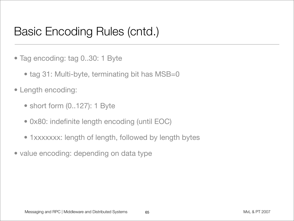### Basic Encoding Rules (cntd.)

- Tag encoding: tag 0..30: 1 Byte
	- tag 31: Multi-byte, terminating bit has MSB=0
- Length encoding:
	- short form (0..127): 1 Byte
	- 0x80: indefinite length encoding (until EOC)
	- 1xxxxxxx: length of length, followed by length bytes
- value encoding: depending on data type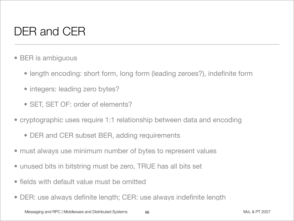# DER and CER

- BER is ambiguous
	- length encoding: short form, long form (leading zeroes?), indefinite form
	- integers: leading zero bytes?
	- SET, SET OF: order of elements?
- cryptographic uses require 1:1 relationship between data and encoding
	- DER and CER subset BER, adding requirements
- must always use minimum number of bytes to represent values
- unused bits in bitstring must be zero, TRUE has all bits set
- fields with default value must be omitted
- DER: use always definite length; CER: use always indefinite length

66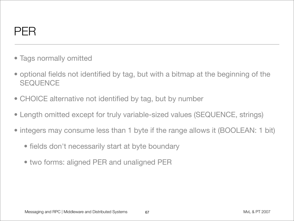

- Tags normally omitted
- optional fields not identified by tag, but with a bitmap at the beginning of the **SEQUENCE**
- CHOICE alternative not identified by tag, but by number
- Length omitted except for truly variable-sized values (SEQUENCE, strings)
- integers may consume less than 1 byte if the range allows it (BOOLEAN: 1 bit)
	- fields don't necessarily start at byte boundary
	- two forms: aligned PER and unaligned PER